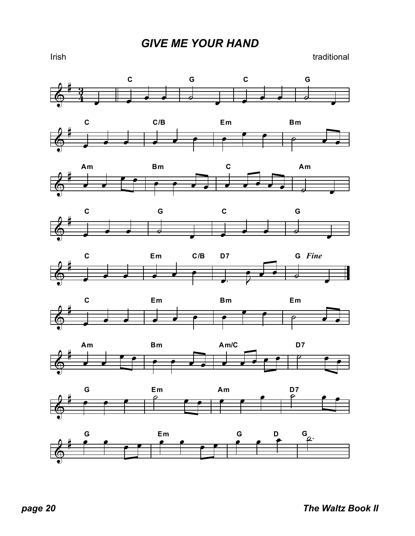Irish traditional